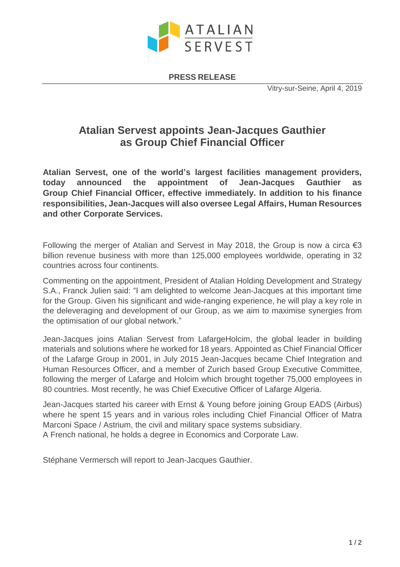

**PRESS RELEASE**

Vitry-sur-Seine, April 4, 2019

# **Atalian Servest appoints Jean-Jacques Gauthier as Group Chief Financial Officer**

**Atalian Servest, one of the world's largest facilities management providers, today announced the appointment of Jean-Jacques Gauthier as Group Chief Financial Officer, effective immediately. In addition to his finance responsibilities, Jean-Jacques will also oversee Legal Affairs, Human Resources and other Corporate Services.**

Following the merger of Atalian and Servest in May 2018, the Group is now a circa  $\epsilon$ 3 billion revenue business with more than 125,000 employees worldwide, operating in 32 countries across four continents.

Commenting on the appointment, President of Atalian Holding Development and Strategy S.A., Franck Julien said: "I am delighted to welcome Jean-Jacques at this important time for the Group. Given his significant and wide-ranging experience, he will play a key role in the deleveraging and development of our Group, as we aim to maximise synergies from the optimisation of our global network."

Jean-Jacques joins Atalian Servest from LafargeHolcim, the global leader in building materials and solutions where he worked for 18 years. Appointed as Chief Financial Officer of the Lafarge Group in 2001, in July 2015 Jean-Jacques became Chief Integration and Human Resources Officer, and a member of Zurich based Group Executive Committee, following the merger of Lafarge and Holcim which brought together 75,000 employees in 80 countries. Most recently, he was Chief Executive Officer of Lafarge Algeria.

Jean-Jacques started his career with Ernst & Young before joining Group EADS (Airbus) where he spent 15 years and in various roles including Chief Financial Officer of Matra Marconi Space / Astrium, the civil and military space systems subsidiary. A French national, he holds a degree in Economics and Corporate Law.

Stéphane Vermersch will report to Jean-Jacques Gauthier.